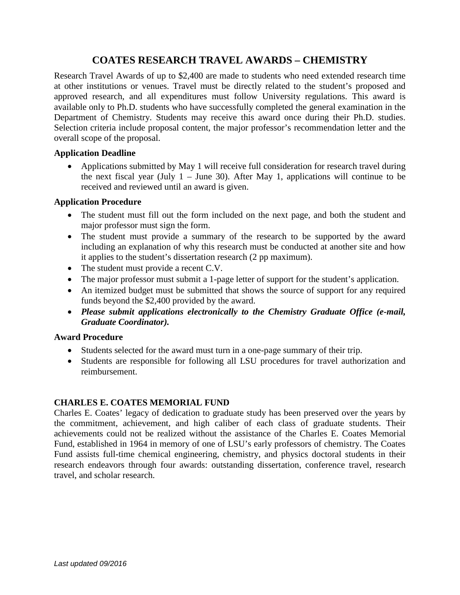# **COATES RESEARCH TRAVEL AWARDS – CHEMISTRY**

Research Travel Awards of up to \$2,400 are made to students who need extended research time at other institutions or venues. Travel must be directly related to the student's proposed and approved research, and all expenditures must follow University regulations. This award is available only to Ph.D. students who have successfully completed the general examination in the Department of Chemistry. Students may receive this award once during their Ph.D. studies. Selection criteria include proposal content, the major professor's recommendation letter and the overall scope of the proposal.

#### **Application Deadline**

• Applications submitted by May 1 will receive full consideration for research travel during the next fiscal year (July  $1 -$  June 30). After May 1, applications will continue to be received and reviewed until an award is given.

### **Application Procedure**

- The student must fill out the form included on the next page, and both the student and major professor must sign the form.
- The student must provide a summary of the research to be supported by the award including an explanation of why this research must be conducted at another site and how it applies to the student's dissertation research (2 pp maximum).
- The student must provide a recent C.V.
- The major professor must submit a 1-page letter of support for the student's application.
- An itemized budget must be submitted that shows the source of support for any required funds beyond the \$2,400 provided by the award.
- *Please submit applications electronically to the Chemistry Graduate Office (e-mail, Graduate Coordinator).*

### **Award Procedure**

- Students selected for the award must turn in a one-page summary of their trip.
- Students are responsible for following all LSU procedures for travel authorization and reimbursement.

### **CHARLES E. COATES MEMORIAL FUND**

Charles E. Coates' legacy of dedication to graduate study has been preserved over the years by the commitment, achievement, and high caliber of each class of graduate students. Their achievements could not be realized without the assistance of the Charles E. Coates Memorial Fund, established in 1964 in memory of one of LSU's early professors of chemistry. The Coates Fund assists full-time chemical engineering, chemistry, and physics doctoral students in their research endeavors through four awards: outstanding dissertation, conference travel, research travel, and scholar research.